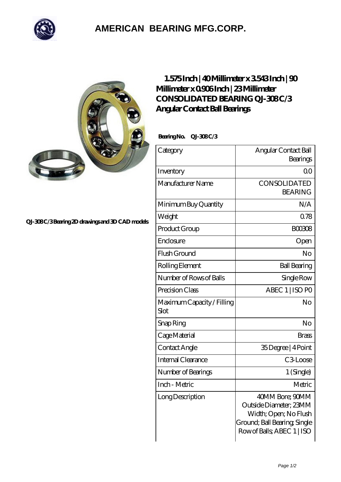

## **[AMERICAN BEARING MFG.CORP.](https://m.geragogik.net)**



## **[QJ-308 C/3 Bearing 2D drawings and 3D CAD models](https://m.geragogik.net/pic-181265.html)**

## **[1.575 Inch | 40 Millimeter x 3.543 Inch | 90](https://m.geragogik.net/bz-181265-consolidated-bearing-qj-308-c-3-angular-contact-ball-bearings.html) [Millimeter x 0.906 Inch | 23 Millimeter](https://m.geragogik.net/bz-181265-consolidated-bearing-qj-308-c-3-angular-contact-ball-bearings.html) CONSOLIDATED BEARING QJ-308C/3 [Angular Contact Ball Bearings](https://m.geragogik.net/bz-181265-consolidated-bearing-qj-308-c-3-angular-contact-ball-bearings.html)**

 **Bearing No. QJ-308 C/3**

| Category                           | Angular Contact Ball<br>Bearings                                                                                                 |
|------------------------------------|----------------------------------------------------------------------------------------------------------------------------------|
| Inventory                          | 0 <sup>0</sup>                                                                                                                   |
| Manufacturer Name                  | <b>CONSOLIDATED</b><br><b>BEARING</b>                                                                                            |
| Minimum Buy Quantity               | N/A                                                                                                                              |
| Weight                             | 0.78                                                                                                                             |
| Product Group                      | <b>BOO3O8</b>                                                                                                                    |
| Enclosure                          | Open                                                                                                                             |
| Flush Ground                       | No                                                                                                                               |
| Rolling Element                    | <b>Ball Bearing</b>                                                                                                              |
| Number of Rows of Balls            | Single Row                                                                                                                       |
| Precision Class                    | ABEC 1   ISO PO                                                                                                                  |
| Maximum Capacity / Filling<br>Slot | No                                                                                                                               |
| Snap Ring                          | No                                                                                                                               |
| Cage Material                      | <b>Brass</b>                                                                                                                     |
| Contact Angle                      | 35Degree   4Point                                                                                                                |
| Internal Clearance                 | C <sub>3</sub> Loose                                                                                                             |
| Number of Bearings                 | 1 (Single)                                                                                                                       |
| Inch - Metric                      | Metric                                                                                                                           |
| Long Description                   | 40MM Bore; 90MM<br>Outside Diameter; 23MM<br>Width; Open; No Flush<br>Ground; Ball Bearing; Single<br>Row of Balls, ABEC 1   ISO |